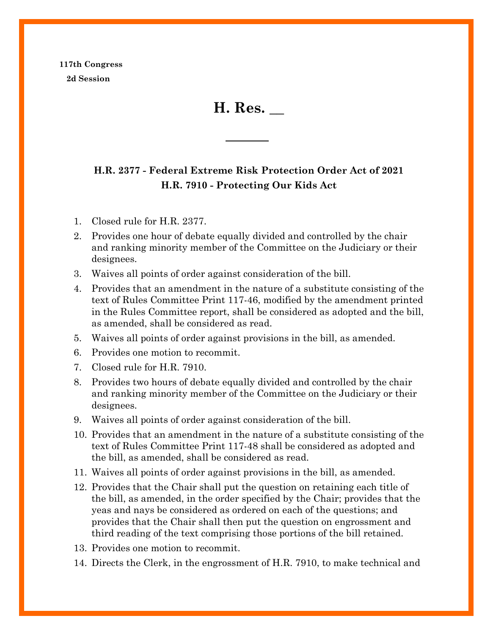**117th Congress 2d Session**

**H. Res. \_\_**

## **H.R. 2377 - Federal Extreme Risk Protection Order Act of 2021 H.R. 7910 - Protecting Our Kids Act**

- 1. Closed rule for H.R. 2377.
- 2. Provides one hour of debate equally divided and controlled by the chair and ranking minority member of the Committee on the Judiciary or their designees.
- 3. Waives all points of order against consideration of the bill.
- 4. Provides that an amendment in the nature of a substitute consisting of the text of Rules Committee Print 117-46, modified by the amendment printed in the Rules Committee report, shall be considered as adopted and the bill, as amended, shall be considered as read.
- 5. Waives all points of order against provisions in the bill, as amended.
- 6. Provides one motion to recommit.
- 7. Closed rule for H.R. 7910.
- 8. Provides two hours of debate equally divided and controlled by the chair and ranking minority member of the Committee on the Judiciary or their designees.
- 9. Waives all points of order against consideration of the bill.
- 10. Provides that an amendment in the nature of a substitute consisting of the text of Rules Committee Print 117-48 shall be considered as adopted and the bill, as amended, shall be considered as read.
- 11. Waives all points of order against provisions in the bill, as amended.
- 12. Provides that the Chair shall put the question on retaining each title of the bill, as amended, in the order specified by the Chair; provides that the yeas and nays be considered as ordered on each of the questions; and provides that the Chair shall then put the question on engrossment and third reading of the text comprising those portions of the bill retained.
- 13. Provides one motion to recommit.
- 14. Directs the Clerk, in the engrossment of H.R. 7910, to make technical and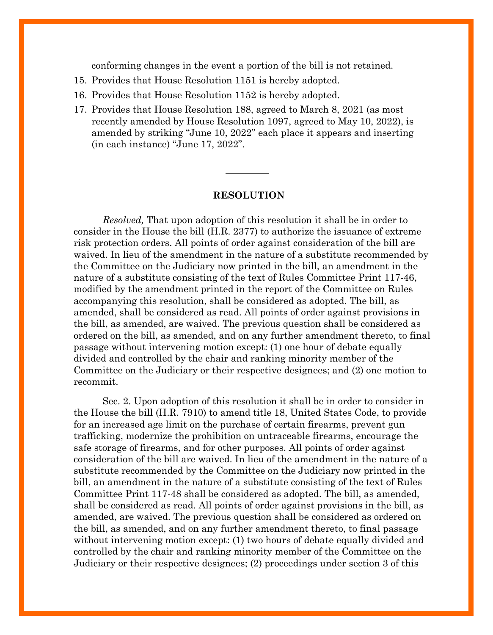conforming changes in the event a portion of the bill is not retained.

- 15. Provides that House Resolution 1151 is hereby adopted.
- 16. Provides that House Resolution 1152 is hereby adopted.
- 17. Provides that House Resolution 188, agreed to March 8, 2021 (as most recently amended by House Resolution 1097, agreed to May 10, 2022), is amended by striking "June 10, 2022" each place it appears and inserting (in each instance) "June 17, 2022".

## **RESOLUTION**

*Resolved,* That upon adoption of this resolution it shall be in order to consider in the House the bill (H.R. 2377) to authorize the issuance of extreme risk protection orders. All points of order against consideration of the bill are waived. In lieu of the amendment in the nature of a substitute recommended by the Committee on the Judiciary now printed in the bill, an amendment in the nature of a substitute consisting of the text of Rules Committee Print 117-46, modified by the amendment printed in the report of the Committee on Rules accompanying this resolution, shall be considered as adopted. The bill, as amended, shall be considered as read. All points of order against provisions in the bill, as amended, are waived. The previous question shall be considered as ordered on the bill, as amended, and on any further amendment thereto, to final passage without intervening motion except: (1) one hour of debate equally divided and controlled by the chair and ranking minority member of the Committee on the Judiciary or their respective designees; and (2) one motion to recommit.

Sec. 2. Upon adoption of this resolution it shall be in order to consider in the House the bill (H.R. 7910) to amend title 18, United States Code, to provide for an increased age limit on the purchase of certain firearms, prevent gun trafficking, modernize the prohibition on untraceable firearms, encourage the safe storage of firearms, and for other purposes. All points of order against consideration of the bill are waived. In lieu of the amendment in the nature of a substitute recommended by the Committee on the Judiciary now printed in the bill, an amendment in the nature of a substitute consisting of the text of Rules Committee Print 117-48 shall be considered as adopted. The bill, as amended, shall be considered as read. All points of order against provisions in the bill, as amended, are waived. The previous question shall be considered as ordered on the bill, as amended, and on any further amendment thereto, to final passage without intervening motion except: (1) two hours of debate equally divided and controlled by the chair and ranking minority member of the Committee on the Judiciary or their respective designees; (2) proceedings under section 3 of this